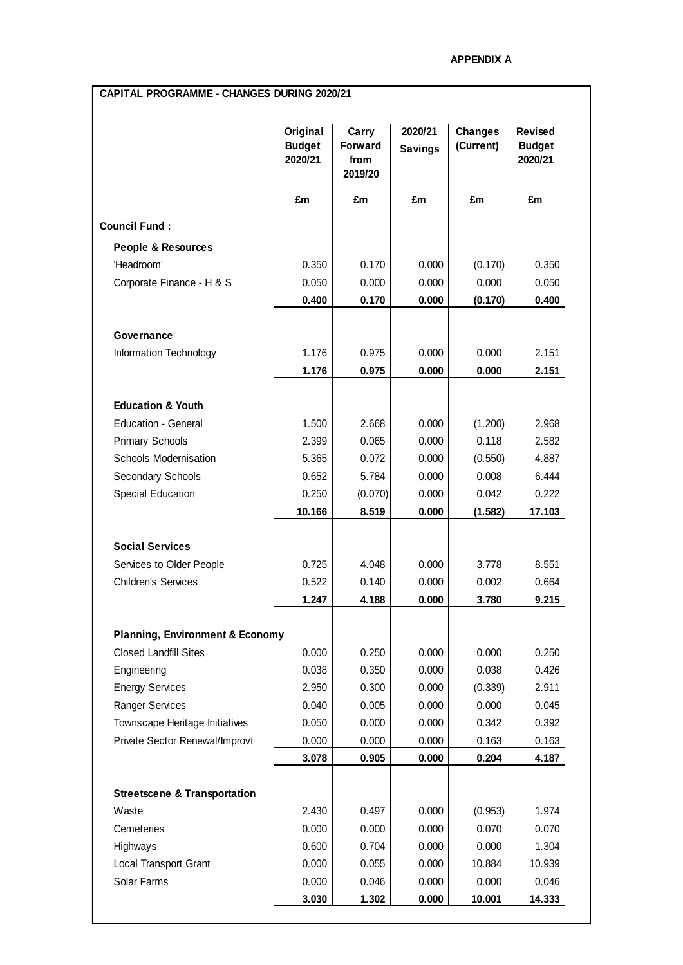## **CAPITAL PROGRAMME - CHANGES DURING 2020/21**

|                                            | Original<br><b>Budget</b><br>2020/21<br>£m | Carry<br>Forward<br>from<br>2019/20<br>£m | 2020/21<br><b>Savings</b><br>£m | <b>Changes</b><br>(Current)<br>£m | <b>Revised</b><br><b>Budget</b><br>2020/21<br>£m |
|--------------------------------------------|--------------------------------------------|-------------------------------------------|---------------------------------|-----------------------------------|--------------------------------------------------|
|                                            |                                            |                                           |                                 |                                   |                                                  |
| <b>Council Fund:</b>                       |                                            |                                           |                                 |                                   |                                                  |
| <b>People &amp; Resources</b>              |                                            |                                           |                                 |                                   |                                                  |
| 'Headroom'                                 | 0.350                                      | 0.170                                     | 0.000                           | (0.170)                           | 0.350                                            |
| Corporate Finance - H & S                  | 0.050                                      | 0.000                                     | 0.000                           | 0.000                             | 0.050                                            |
|                                            | 0.400                                      | 0.170                                     | 0.000                           | (0.170)                           | 0.400                                            |
| Governance                                 |                                            |                                           |                                 |                                   |                                                  |
| Information Technology                     | 1.176                                      | 0.975                                     | 0.000                           | 0.000                             | 2.151                                            |
|                                            | 1.176                                      | 0.975                                     | 0.000                           | 0.000                             | 2.151                                            |
|                                            |                                            |                                           |                                 |                                   |                                                  |
| <b>Education &amp; Youth</b>               |                                            |                                           |                                 |                                   |                                                  |
| Education - General                        | 1.500                                      | 2.668                                     | 0.000                           | (1.200)                           | 2.968                                            |
| <b>Primary Schools</b>                     | 2.399                                      | 0.065                                     | 0.000                           | 0.118                             | 2.582                                            |
| <b>Schools Modernisation</b>               | 5.365                                      | 0.072                                     | 0.000                           | (0.550)                           | 4.887                                            |
| Secondary Schools                          | 0.652                                      | 5.784                                     | 0.000                           | 0.008                             | 6.444                                            |
| Special Education                          | 0.250                                      | (0.070)                                   | 0.000                           | 0.042                             | 0.222                                            |
|                                            | 10.166                                     | 8.519                                     | 0.000                           | (1.582)                           | 17.103                                           |
| <b>Social Services</b>                     |                                            |                                           |                                 |                                   |                                                  |
| Services to Older People                   | 0.725                                      | 4.048                                     | 0.000                           | 3.778                             | 8.551                                            |
| <b>Children's Services</b>                 | 0.522                                      | 0.140                                     | 0.000                           | 0.002                             | 0.664                                            |
|                                            | 1.247                                      | 4.188                                     | 0.000                           | 3.780                             | 9.215                                            |
|                                            |                                            |                                           |                                 |                                   |                                                  |
| <b>Planning, Environment &amp; Economy</b> |                                            |                                           |                                 |                                   |                                                  |
| <b>Closed Landfill Sites</b>               | 0.000                                      | 0.250                                     | 0.000                           | 0.000                             | 0.250                                            |
| Engineering                                | 0.038                                      | 0.350                                     | 0.000                           | 0.038                             | 0.426                                            |
| <b>Energy Services</b>                     | 2.950                                      | 0.300                                     | 0.000                           | (0.339)                           | 2.911                                            |
| Ranger Services                            | 0.040                                      | 0.005                                     | 0.000                           | 0.000                             | 0.045                                            |
| Townscape Heritage Initiatives             | 0.050                                      | 0.000                                     | 0.000                           | 0.342                             | 0.392                                            |
| Private Sector Renewal/Improvt             | 0.000                                      | 0.000                                     | 0.000                           | 0.163                             | 0.163                                            |
|                                            | 3.078                                      | 0.905                                     | 0.000                           | 0.204                             | 4.187                                            |
| <b>Streetscene &amp; Transportation</b>    |                                            |                                           |                                 |                                   |                                                  |
| Waste                                      | 2.430                                      | 0.497                                     | 0.000                           | (0.953)                           | 1.974                                            |
| Cemeteries                                 | 0.000                                      | 0.000                                     | 0.000                           | 0.070                             | 0.070                                            |
| Highways                                   | 0.600                                      | 0.704                                     | 0.000                           | 0.000                             | 1.304                                            |
| Local Transport Grant                      | 0.000                                      | 0.055                                     | 0.000                           | 10.884                            | 10.939                                           |
| Solar Farms                                | 0.000                                      | 0.046                                     | 0.000                           | 0.000                             | 0.046                                            |
|                                            | 3.030                                      | 1.302                                     | 0.000                           | 10.001                            | 14.333                                           |